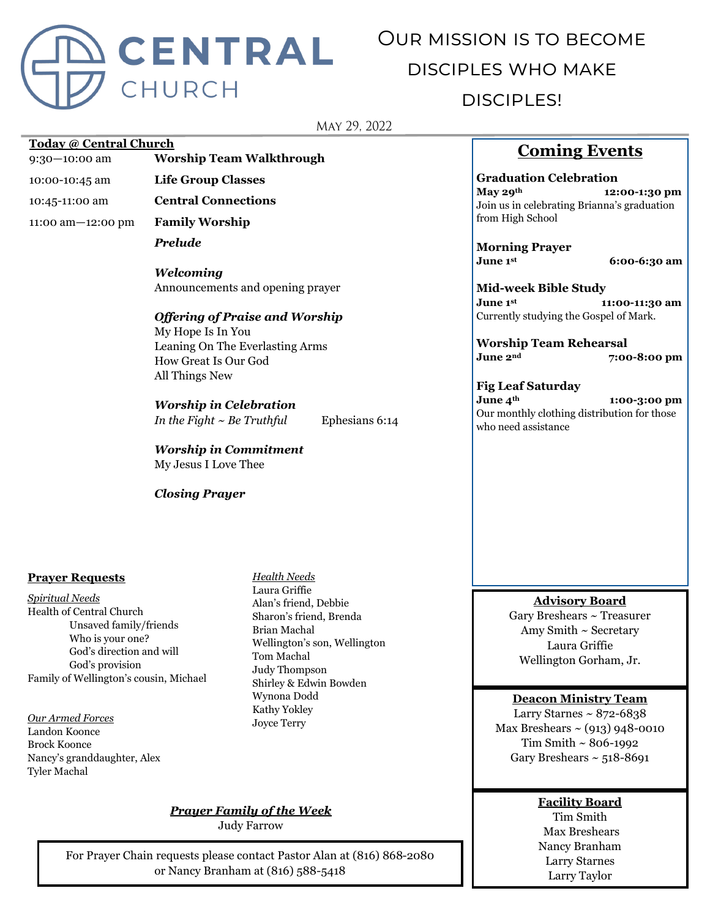

# Our mission is to become disciples who make

# disciples!

MAY 29, 2022

#### **Today @ Central Church**

- 9:30—10:00 am **Worship Team Walkthrough**
- 10:00-10:45 am **Life Group Classes**
- 10:45-11:00 am **Central Connections**

11:00 am—12:00 pm **Family Worship**

*Prelude*

*Welcoming* Announcements and opening prayer

# *Offering of Praise and Worship*

My Hope Is In You Leaning On The Everlasting Arms How Great Is Our God All Things New

#### *Worship in Celebration*

*In the Fight ~ Be Truthful* Ephesians 6:14

*Worship in Commitment* My Jesus I Love Thee

#### *Closing Prayer*

#### **Prayer Requests**

*Spiritual Needs* Health of Central Church Unsaved family/friends Who is your one? God's direction and will God's provision Family of Wellington's cousin, Michael

#### *Our Armed Forces*

Landon Koonce Brock Koonce Nancy's granddaughter, Alex Tyler Machal

*Health Needs* Laura Griffie Alan's friend, Debbie Sharon's friend, Brenda Brian Machal Wellington's son, Wellington Tom Machal Judy Thompson Shirley & Edwin Bowden Wynona Dodd Kathy Yokley Joyce Terry

### *Prayer Family of the Week*

Judy Farrow

For Prayer Chain requests please contact Pastor Alan at (816) 868-2080 or Nancy Branham at (816) 588-5418

# **Coming Events**

**Graduation Celebration May 29th 12:00-1:30 pm** Join us in celebrating Brianna's graduation from High School

**Morning Prayer June 1st**

 **6:00-6:30 am**

**Mid-week Bible Study June 1st 11:00-11:30 am** Currently studying the Gospel of Mark.

**Worship Team Rehearsal June 2nd 7:00-8:00 pm**

**Fig Leaf Saturday June 4th 1:00-3:00 pm** Our monthly clothing distribution for those who need assistance

#### **Advisory Board**

Gary Breshears ~ Treasurer Amy Smith ~ Secretary Laura Griffie Wellington Gorham, Jr.

#### **Deacon Ministry Team**

Larry Starnes  $\sim 872 - 6838$ Max Breshears  $\sim$  (913) 948-0010 Tim Smith ~ 806-1992 Gary Breshears  $\sim$  518-8691

#### **Facility Board**

Tim Smith Max Breshears Nancy Branham Larry Starnes Larry Taylor